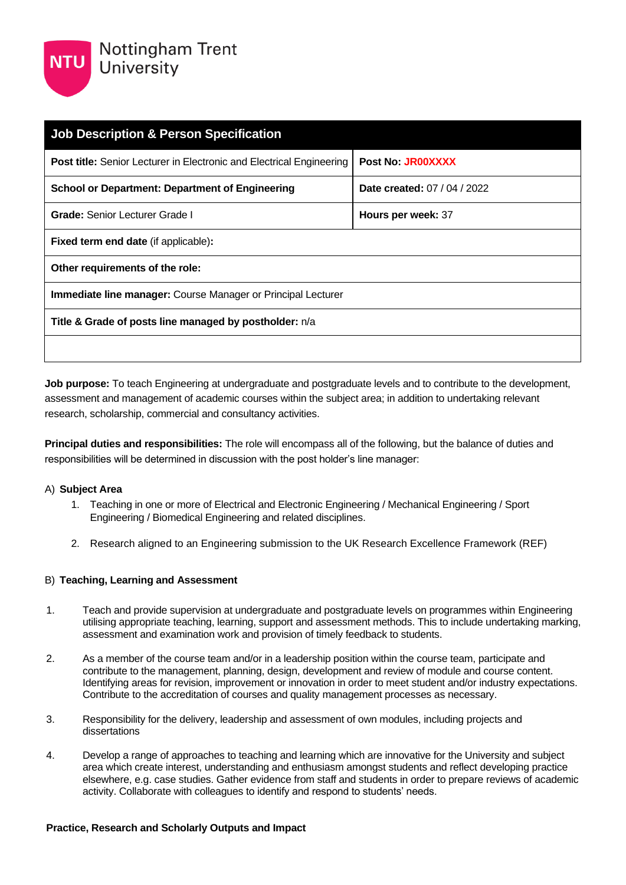| <b>Job Description &amp; Person Specification</b>                           |                                 |  |
|-----------------------------------------------------------------------------|---------------------------------|--|
| <b>Post title:</b> Senior Lecturer in Electronic and Electrical Engineering | Post No. JR00XXXX               |  |
| <b>School or Department: Department of Engineering</b>                      | <b>Date created: 07/04/2022</b> |  |
| <b>Grade:</b> Senior Lecturer Grade I                                       | Hours per week: 37              |  |
| <b>Fixed term end date (if applicable):</b>                                 |                                 |  |
| Other requirements of the role:                                             |                                 |  |
| <b>Immediate line manager:</b> Course Manager or Principal Lecturer         |                                 |  |
| Title & Grade of posts line managed by postholder: n/a                      |                                 |  |
|                                                                             |                                 |  |

**Job purpose:** To teach Engineering at undergraduate and postgraduate levels and to contribute to the development, assessment and management of academic courses within the subject area; in addition to undertaking relevant research, scholarship, commercial and consultancy activities.

**Principal duties and responsibilities:** The role will encompass all of the following, but the balance of duties and responsibilities will be determined in discussion with the post holder's line manager:

#### A) **Subject Area**

- 1. Teaching in one or more of Electrical and Electronic Engineering / Mechanical Engineering / Sport Engineering / Biomedical Engineering and related disciplines.
- 2. Research aligned to an Engineering submission to the UK Research Excellence Framework (REF)

#### B) **Teaching, Learning and Assessment**

- 1. Teach and provide supervision at undergraduate and postgraduate levels on programmes within Engineering utilising appropriate teaching, learning, support and assessment methods. This to include undertaking marking, assessment and examination work and provision of timely feedback to students.
- 2. As a member of the course team and/or in a leadership position within the course team, participate and contribute to the management, planning, design, development and review of module and course content. Identifying areas for revision, improvement or innovation in order to meet student and/or industry expectations. Contribute to the accreditation of courses and quality management processes as necessary.
- 3. Responsibility for the delivery, leadership and assessment of own modules, including projects and dissertations
- 4. Develop a range of approaches to teaching and learning which are innovative for the University and subject area which create interest, understanding and enthusiasm amongst students and reflect developing practice elsewhere, e.g. case studies. Gather evidence from staff and students in order to prepare reviews of academic activity. Collaborate with colleagues to identify and respond to students' needs.

#### **Practice, Research and Scholarly Outputs and Impact**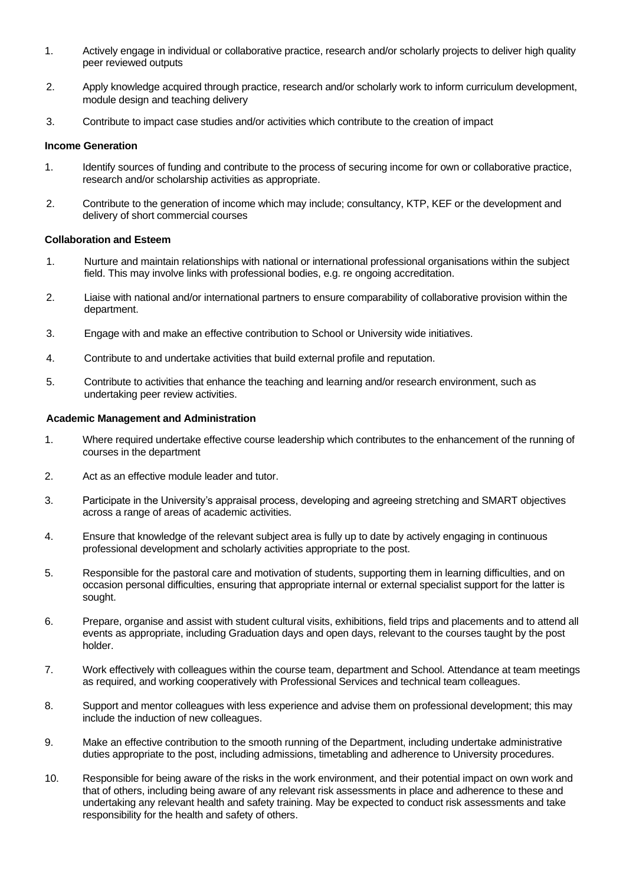- 1. Actively engage in individual or collaborative practice, research and/or scholarly projects to deliver high quality peer reviewed outputs
- 2. Apply knowledge acquired through practice, research and/or scholarly work to inform curriculum development, module design and teaching delivery
- 3. Contribute to impact case studies and/or activities which contribute to the creation of impact

#### **Income Generation**

- 1. Identify sources of funding and contribute to the process of securing income for own or collaborative practice, research and/or scholarship activities as appropriate.
- 2. Contribute to the generation of income which may include; consultancy, KTP, KEF or the development and delivery of short commercial courses

#### **Collaboration and Esteem**

- 1. Nurture and maintain relationships with national or international professional organisations within the subject field. This may involve links with professional bodies, e.g. re ongoing accreditation.
- 2. Liaise with national and/or international partners to ensure comparability of collaborative provision within the department.
- 3. Engage with and make an effective contribution to School or University wide initiatives.
- 4. Contribute to and undertake activities that build external profile and reputation.
- 5. Contribute to activities that enhance the teaching and learning and/or research environment, such as undertaking peer review activities.

#### **Academic Management and Administration**

- 1. Where required undertake effective course leadership which contributes to the enhancement of the running of courses in the department
- 2. Act as an effective module leader and tutor.
- 3. Participate in the University's appraisal process, developing and agreeing stretching and SMART objectives across a range of areas of academic activities.
- 4. Ensure that knowledge of the relevant subject area is fully up to date by actively engaging in continuous professional development and scholarly activities appropriate to the post.
- 5. Responsible for the pastoral care and motivation of students, supporting them in learning difficulties, and on occasion personal difficulties, ensuring that appropriate internal or external specialist support for the latter is sought.
- 6. Prepare, organise and assist with student cultural visits, exhibitions, field trips and placements and to attend all events as appropriate, including Graduation days and open days, relevant to the courses taught by the post holder.
- 7. Work effectively with colleagues within the course team, department and School. Attendance at team meetings as required, and working cooperatively with Professional Services and technical team colleagues.
- 8. Support and mentor colleagues with less experience and advise them on professional development; this may include the induction of new colleagues.
- 9. Make an effective contribution to the smooth running of the Department, including undertake administrative duties appropriate to the post, including admissions, timetabling and adherence to University procedures.
- 10. Responsible for being aware of the risks in the work environment, and their potential impact on own work and that of others, including being aware of any relevant risk assessments in place and adherence to these and undertaking any relevant health and safety training. May be expected to conduct risk assessments and take responsibility for the health and safety of others.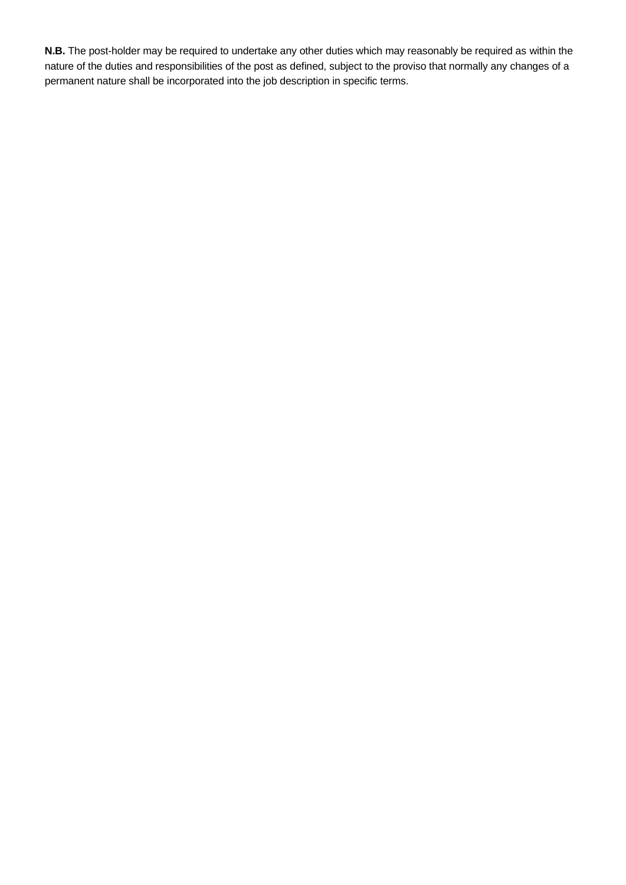**N.B.** The post-holder may be required to undertake any other duties which may reasonably be required as within the nature of the duties and responsibilities of the post as defined, subject to the proviso that normally any changes of a permanent nature shall be incorporated into the job description in specific terms.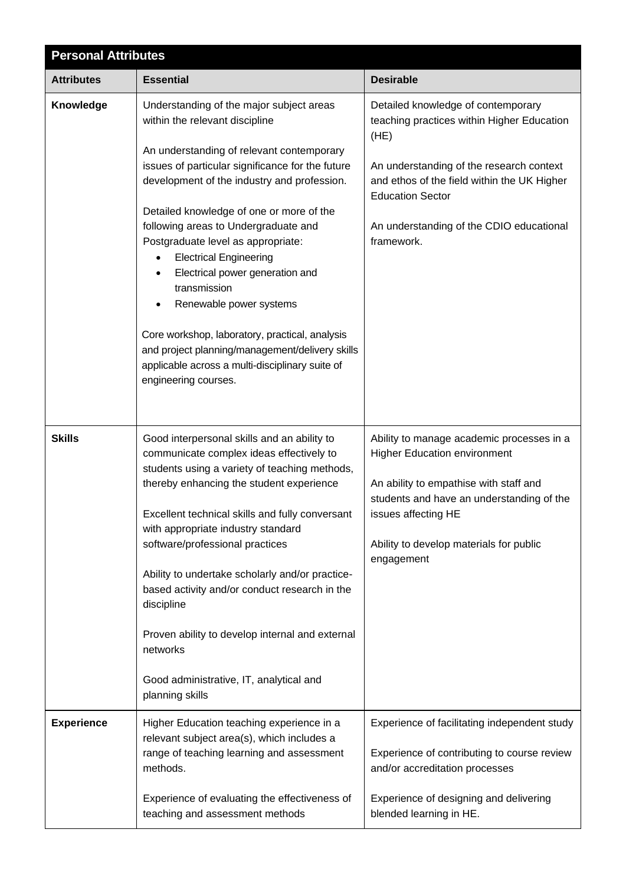| <b>Personal Attributes</b> |                                                                                                                                                                                                                                                                                                                                                                                                                                                                                                                                                                 |                                                                                                                                                                                                                                                         |  |
|----------------------------|-----------------------------------------------------------------------------------------------------------------------------------------------------------------------------------------------------------------------------------------------------------------------------------------------------------------------------------------------------------------------------------------------------------------------------------------------------------------------------------------------------------------------------------------------------------------|---------------------------------------------------------------------------------------------------------------------------------------------------------------------------------------------------------------------------------------------------------|--|
| <b>Attributes</b>          | <b>Essential</b>                                                                                                                                                                                                                                                                                                                                                                                                                                                                                                                                                | <b>Desirable</b>                                                                                                                                                                                                                                        |  |
| Knowledge                  | Understanding of the major subject areas<br>within the relevant discipline                                                                                                                                                                                                                                                                                                                                                                                                                                                                                      | Detailed knowledge of contemporary<br>teaching practices within Higher Education<br>(HE)                                                                                                                                                                |  |
|                            | An understanding of relevant contemporary<br>issues of particular significance for the future<br>development of the industry and profession.<br>Detailed knowledge of one or more of the                                                                                                                                                                                                                                                                                                                                                                        | An understanding of the research context<br>and ethos of the field within the UK Higher<br><b>Education Sector</b>                                                                                                                                      |  |
|                            | following areas to Undergraduate and<br>Postgraduate level as appropriate:<br><b>Electrical Engineering</b><br>Electrical power generation and<br>transmission<br>Renewable power systems                                                                                                                                                                                                                                                                                                                                                                       | An understanding of the CDIO educational<br>framework.                                                                                                                                                                                                  |  |
|                            | Core workshop, laboratory, practical, analysis<br>and project planning/management/delivery skills<br>applicable across a multi-disciplinary suite of<br>engineering courses.                                                                                                                                                                                                                                                                                                                                                                                    |                                                                                                                                                                                                                                                         |  |
| <b>Skills</b>              | Good interpersonal skills and an ability to<br>communicate complex ideas effectively to<br>students using a variety of teaching methods,<br>thereby enhancing the student experience<br>Excellent technical skills and fully conversant<br>with appropriate industry standard<br>software/professional practices<br>Ability to undertake scholarly and/or practice-<br>based activity and/or conduct research in the<br>discipline<br>Proven ability to develop internal and external<br>networks<br>Good administrative, IT, analytical and<br>planning skills | Ability to manage academic processes in a<br><b>Higher Education environment</b><br>An ability to empathise with staff and<br>students and have an understanding of the<br>issues affecting HE<br>Ability to develop materials for public<br>engagement |  |
| <b>Experience</b>          | Higher Education teaching experience in a<br>relevant subject area(s), which includes a<br>range of teaching learning and assessment<br>methods.<br>Experience of evaluating the effectiveness of<br>teaching and assessment methods                                                                                                                                                                                                                                                                                                                            | Experience of facilitating independent study<br>Experience of contributing to course review<br>and/or accreditation processes<br>Experience of designing and delivering<br>blended learning in HE.                                                      |  |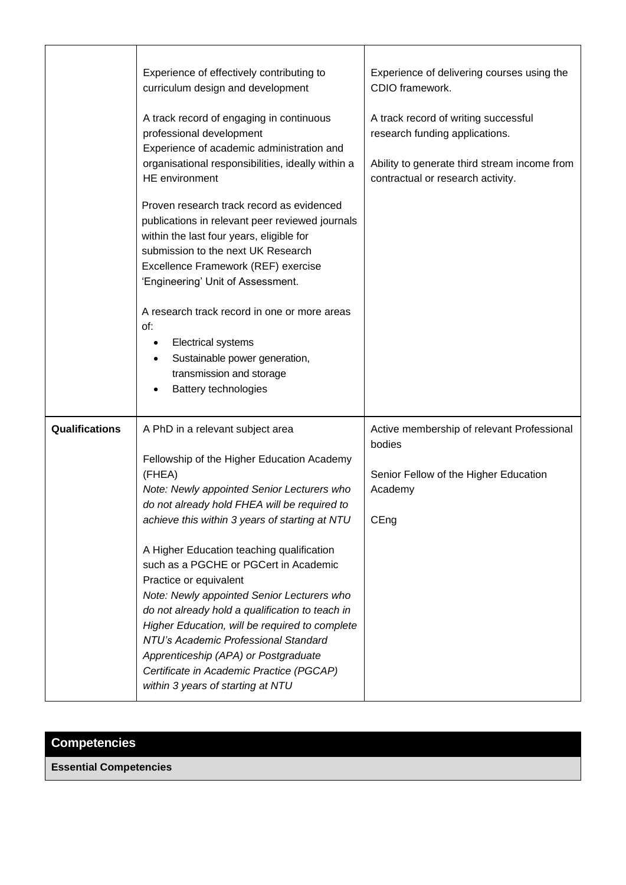|                | Experience of effectively contributing to<br>curriculum design and development<br>A track record of engaging in continuous<br>professional development<br>Experience of academic administration and<br>organisational responsibilities, ideally within a<br><b>HE</b> environment<br>Proven research track record as evidenced<br>publications in relevant peer reviewed journals<br>within the last four years, eligible for<br>submission to the next UK Research<br>Excellence Framework (REF) exercise<br>'Engineering' Unit of Assessment.<br>A research track record in one or more areas<br>of:<br><b>Electrical systems</b><br>Sustainable power generation,<br>transmission and storage            | Experience of delivering courses using the<br>CDIO framework.<br>A track record of writing successful<br>research funding applications.<br>Ability to generate third stream income from<br>contractual or research activity. |
|----------------|-------------------------------------------------------------------------------------------------------------------------------------------------------------------------------------------------------------------------------------------------------------------------------------------------------------------------------------------------------------------------------------------------------------------------------------------------------------------------------------------------------------------------------------------------------------------------------------------------------------------------------------------------------------------------------------------------------------|------------------------------------------------------------------------------------------------------------------------------------------------------------------------------------------------------------------------------|
| Qualifications | <b>Battery technologies</b><br>A PhD in a relevant subject area<br>Fellowship of the Higher Education Academy<br>(FHEA)<br>Note: Newly appointed Senior Lecturers who<br>do not already hold FHEA will be required to<br>achieve this within 3 years of starting at NTU<br>A Higher Education teaching qualification<br>such as a PGCHE or PGCert in Academic<br>Practice or equivalent<br>Note: Newly appointed Senior Lecturers who<br>do not already hold a qualification to teach in<br>Higher Education, will be required to complete<br>NTU's Academic Professional Standard<br>Apprenticeship (APA) or Postgraduate<br>Certificate in Academic Practice (PGCAP)<br>within 3 years of starting at NTU | Active membership of relevant Professional<br>bodies<br>Senior Fellow of the Higher Education<br>Academy<br>CEng                                                                                                             |

# **Competencies**

**Essential Competencies**